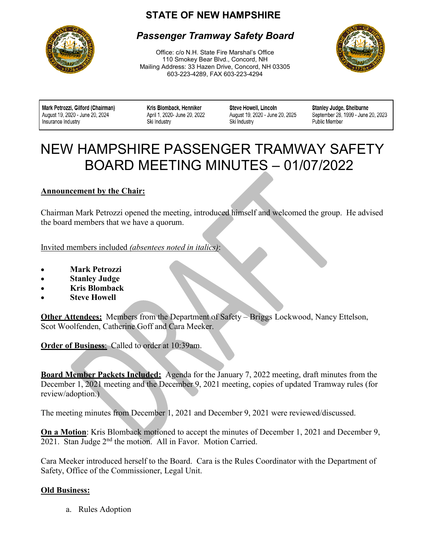## **STATE OF NEW HAMPSHIRE**



### *Passenger Tramway Safety Board*

Office: c/o N.H. State Fire Marshal's Office 110 Smokey Bear Blvd., Concord, NH Mailing Address: 33 Hazen Drive, Concord, NH 03305 603-223-4289, FAX 603-223-4294



Mark Petrozzi, Gilford (Chairman) August 19, 2020 - June 20, 2024 Insurance Industry

Kris Blomback, Henniker April 1, 2020- June 20, 2022 Ski Industry

**Steve Howell, Lincoln** August 19, 2020 - June 20, 2025 Ski Industry

Stanley Judge, Shelburne September 28, 1999 - June 20, 2023 **Public Member** 

# $\overline{a}$ NEW HAMPSHIRE PASSENGER TRAMWAY SAFETY BOARD MEETING MINUTES – 01/07/2022

#### **Announcement by the Chair:**

Chairman Mark Petrozzi opened the meeting, introduced himself and welcomed the group. He advised the board members that we have a quorum.

Invited members included *(absentees noted in italics)*:

- **Mark Petrozzi**
- **Stanley Judge**
- **Kris Blomback**
- **Steve Howell**

**Other Attendees:** Members from the Department of Safety – Briggs Lockwood, Nancy Ettelson, Scot Woolfenden, Catherine Goff and Cara Meeker.

**Order of Business**: Called to order at 10:39am.

**Board Member Packets Included:** Agenda for the January 7, 2022 meeting, draft minutes from the December 1, 2021 meeting and the December 9, 2021 meeting, copies of updated Tramway rules (for review/adoption.)

The meeting minutes from December 1, 2021 and December 9, 2021 were reviewed/discussed.

**On a Motion**: Kris Blomback motioned to accept the minutes of December 1, 2021 and December 9, 2021. Stan Judge 2<sup>nd</sup> the motion. All in Favor. Motion Carried.

Cara Meeker introduced herself to the Board. Cara is the Rules Coordinator with the Department of Safety, Office of the Commissioner, Legal Unit.

#### **Old Business:**

a. Rules Adoption